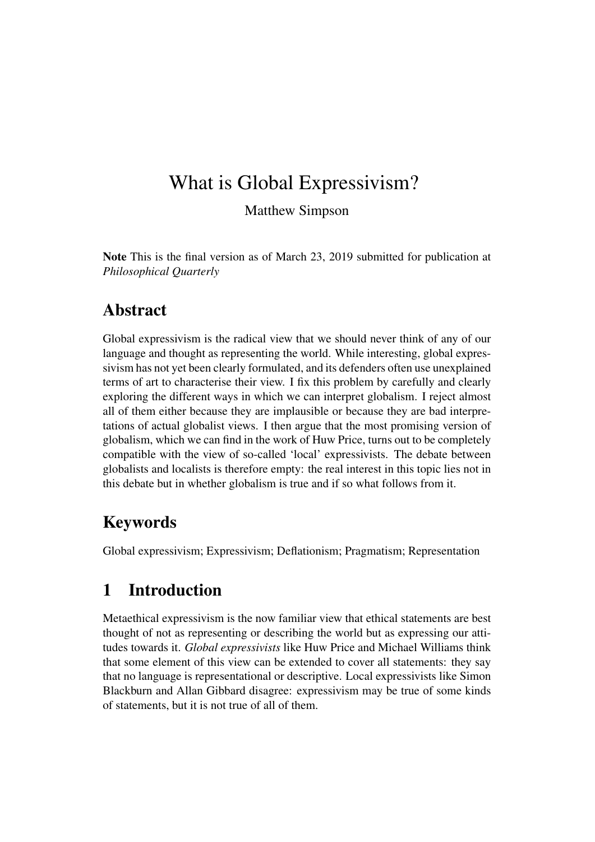# What is Global Expressivism?

Matthew Simpson

Note This is the final version as of March 23, 2019 submitted for publication at *Philosophical Quarterly*

## Abstract

Global expressivism is the radical view that we should never think of any of our language and thought as representing the world. While interesting, global expressivism has not yet been clearly formulated, and its defenders often use unexplained terms of art to characterise their view. I fix this problem by carefully and clearly exploring the different ways in which we can interpret globalism. I reject almost all of them either because they are implausible or because they are bad interpretations of actual globalist views. I then argue that the most promising version of globalism, which we can find in the work of Huw Price, turns out to be completely compatible with the view of so-called 'local' expressivists. The debate between globalists and localists is therefore empty: the real interest in this topic lies not in this debate but in whether globalism is true and if so what follows from it.

## Keywords

Global expressivism; Expressivism; Deflationism; Pragmatism; Representation

## 1 Introduction

Metaethical expressivism is the now familiar view that ethical statements are best thought of not as representing or describing the world but as expressing our attitudes towards it. *Global expressivists* like Huw Price and Michael Williams think that some element of this view can be extended to cover all statements: they say that no language is representational or descriptive. Local expressivists like Simon Blackburn and Allan Gibbard disagree: expressivism may be true of some kinds of statements, but it is not true of all of them.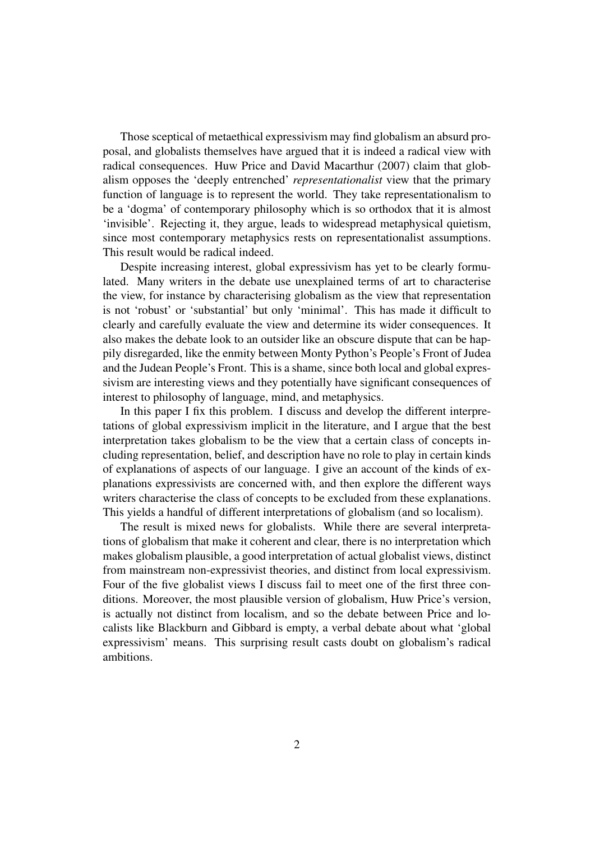Those sceptical of metaethical expressivism may find globalism an absurd proposal, and globalists themselves have argued that it is indeed a radical view with radical consequences. Huw Price and David Macarthur (2007) claim that globalism opposes the 'deeply entrenched' *representationalist* view that the primary function of language is to represent the world. They take representationalism to be a 'dogma' of contemporary philosophy which is so orthodox that it is almost 'invisible'. Rejecting it, they argue, leads to widespread metaphysical quietism, since most contemporary metaphysics rests on representationalist assumptions. This result would be radical indeed.

Despite increasing interest, global expressivism has yet to be clearly formulated. Many writers in the debate use unexplained terms of art to characterise the view, for instance by characterising globalism as the view that representation is not 'robust' or 'substantial' but only 'minimal'. This has made it difficult to clearly and carefully evaluate the view and determine its wider consequences. It also makes the debate look to an outsider like an obscure dispute that can be happily disregarded, like the enmity between Monty Python's People's Front of Judea and the Judean People's Front. This is a shame, since both local and global expressivism are interesting views and they potentially have significant consequences of interest to philosophy of language, mind, and metaphysics.

In this paper I fix this problem. I discuss and develop the different interpretations of global expressivism implicit in the literature, and I argue that the best interpretation takes globalism to be the view that a certain class of concepts including representation, belief, and description have no role to play in certain kinds of explanations of aspects of our language. I give an account of the kinds of explanations expressivists are concerned with, and then explore the different ways writers characterise the class of concepts to be excluded from these explanations. This yields a handful of different interpretations of globalism (and so localism).

The result is mixed news for globalists. While there are several interpretations of globalism that make it coherent and clear, there is no interpretation which makes globalism plausible, a good interpretation of actual globalist views, distinct from mainstream non-expressivist theories, and distinct from local expressivism. Four of the five globalist views I discuss fail to meet one of the first three conditions. Moreover, the most plausible version of globalism, Huw Price's version, is actually not distinct from localism, and so the debate between Price and localists like Blackburn and Gibbard is empty, a verbal debate about what 'global expressivism' means. This surprising result casts doubt on globalism's radical ambitions.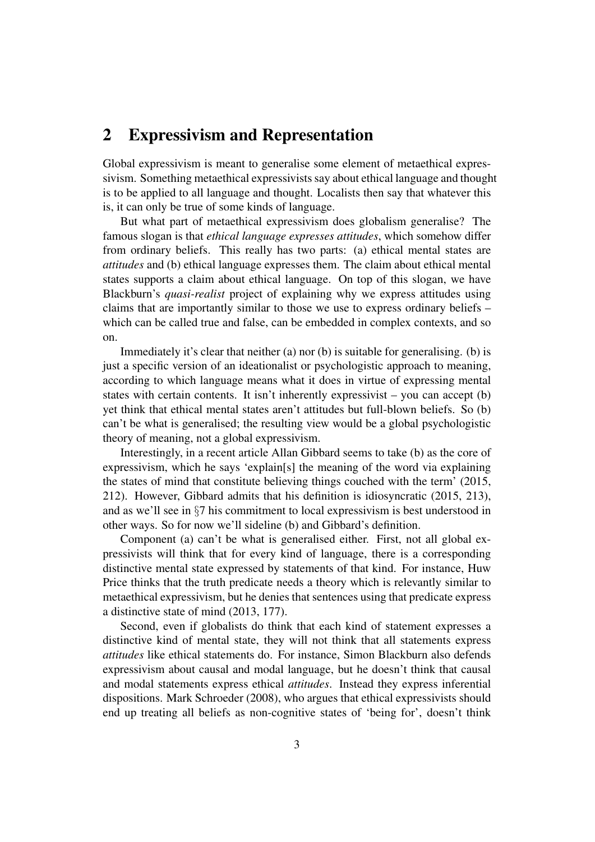## 2 Expressivism and Representation

Global expressivism is meant to generalise some element of metaethical expressivism. Something metaethical expressivists say about ethical language and thought is to be applied to all language and thought. Localists then say that whatever this is, it can only be true of some kinds of language.

But what part of metaethical expressivism does globalism generalise? The famous slogan is that *ethical language expresses attitudes*, which somehow differ from ordinary beliefs. This really has two parts: (a) ethical mental states are *attitudes* and (b) ethical language expresses them. The claim about ethical mental states supports a claim about ethical language. On top of this slogan, we have Blackburn's *quasi-realist* project of explaining why we express attitudes using claims that are importantly similar to those we use to express ordinary beliefs – which can be called true and false, can be embedded in complex contexts, and so on.

Immediately it's clear that neither (a) nor (b) is suitable for generalising. (b) is just a specific version of an ideationalist or psychologistic approach to meaning, according to which language means what it does in virtue of expressing mental states with certain contents. It isn't inherently expressivist – you can accept (b) yet think that ethical mental states aren't attitudes but full-blown beliefs. So (b) can't be what is generalised; the resulting view would be a global psychologistic theory of meaning, not a global expressivism.

Interestingly, in a recent article Allan Gibbard seems to take (b) as the core of expressivism, which he says 'explain[s] the meaning of the word via explaining the states of mind that constitute believing things couched with the term' (2015, 212). However, Gibbard admits that his definition is idiosyncratic (2015, 213), and as we'll see in §7 his commitment to local expressivism is best understood in other ways. So for now we'll sideline (b) and Gibbard's definition.

Component (a) can't be what is generalised either. First, not all global expressivists will think that for every kind of language, there is a corresponding distinctive mental state expressed by statements of that kind. For instance, Huw Price thinks that the truth predicate needs a theory which is relevantly similar to metaethical expressivism, but he denies that sentences using that predicate express a distinctive state of mind (2013, 177).

Second, even if globalists do think that each kind of statement expresses a distinctive kind of mental state, they will not think that all statements express *attitudes* like ethical statements do. For instance, Simon Blackburn also defends expressivism about causal and modal language, but he doesn't think that causal and modal statements express ethical *attitudes*. Instead they express inferential dispositions. Mark Schroeder (2008), who argues that ethical expressivists should end up treating all beliefs as non-cognitive states of 'being for', doesn't think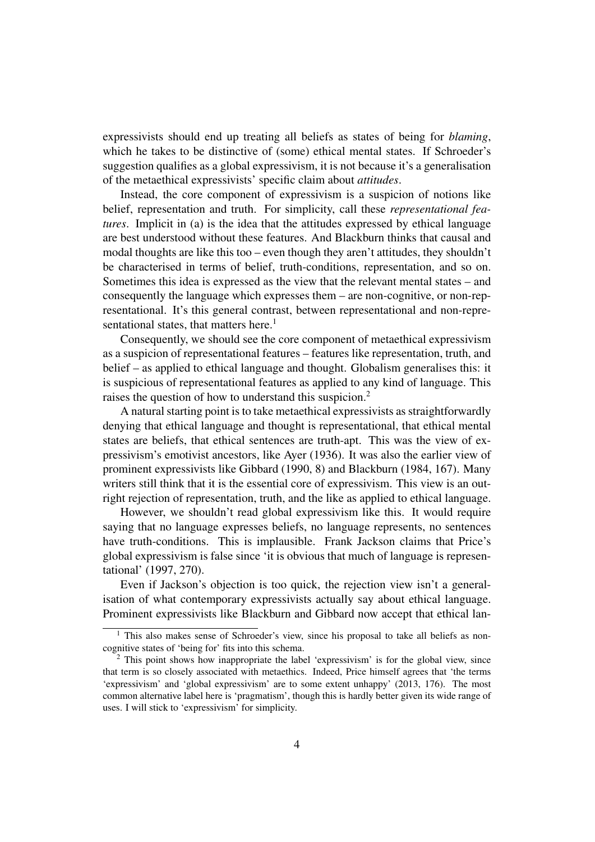expressivists should end up treating all beliefs as states of being for *blaming*, which he takes to be distinctive of (some) ethical mental states. If Schroeder's suggestion qualifies as a global expressivism, it is not because it's a generalisation of the metaethical expressivists' specific claim about *attitudes*.

Instead, the core component of expressivism is a suspicion of notions like belief, representation and truth. For simplicity, call these *representational features*. Implicit in (a) is the idea that the attitudes expressed by ethical language are best understood without these features. And Blackburn thinks that causal and modal thoughts are like this too – even though they aren't attitudes, they shouldn't be characterised in terms of belief, truth-conditions, representation, and so on. Sometimes this idea is expressed as the view that the relevant mental states – and consequently the language which expresses them – are non-cognitive, or non-representational. It's this general contrast, between representational and non-representational states, that matters here.<sup>1</sup>

Consequently, we should see the core component of metaethical expressivism as a suspicion of representational features – features like representation, truth, and belief – as applied to ethical language and thought. Globalism generalises this: it is suspicious of representational features as applied to any kind of language. This raises the question of how to understand this suspicion.<sup>2</sup>

A natural starting point is to take metaethical expressivists as straightforwardly denying that ethical language and thought is representational, that ethical mental states are beliefs, that ethical sentences are truth-apt. This was the view of expressivism's emotivist ancestors, like Ayer (1936). It was also the earlier view of prominent expressivists like Gibbard (1990, 8) and Blackburn (1984, 167). Many writers still think that it is the essential core of expressivism. This view is an outright rejection of representation, truth, and the like as applied to ethical language.

However, we shouldn't read global expressivism like this. It would require saying that no language expresses beliefs, no language represents, no sentences have truth-conditions. This is implausible. Frank Jackson claims that Price's global expressivism is false since 'it is obvious that much of language is representational' (1997, 270).

Even if Jackson's objection is too quick, the rejection view isn't a generalisation of what contemporary expressivists actually say about ethical language. Prominent expressivists like Blackburn and Gibbard now accept that ethical lan-

<sup>&</sup>lt;sup>1</sup> This also makes sense of Schroeder's view, since his proposal to take all beliefs as noncognitive states of 'being for' fits into this schema.

<sup>2</sup> This point shows how inappropriate the label 'expressivism' is for the global view, since that term is so closely associated with metaethics. Indeed, Price himself agrees that 'the terms 'expressivism' and 'global expressivism' are to some extent unhappy' (2013, 176). The most common alternative label here is 'pragmatism', though this is hardly better given its wide range of uses. I will stick to 'expressivism' for simplicity.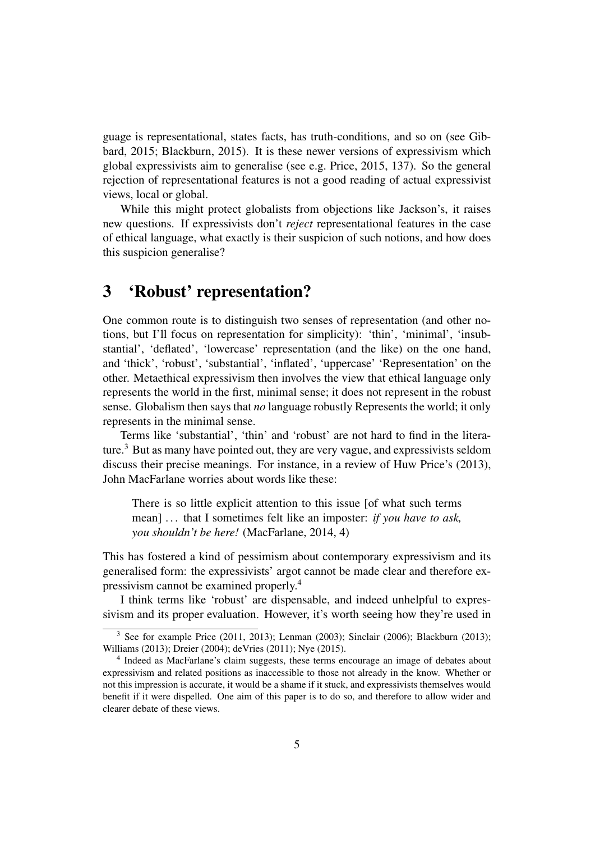guage is representational, states facts, has truth-conditions, and so on (see Gibbard, 2015; Blackburn, 2015). It is these newer versions of expressivism which global expressivists aim to generalise (see e.g. Price, 2015, 137). So the general rejection of representational features is not a good reading of actual expressivist views, local or global.

While this might protect globalists from objections like Jackson's, it raises new questions. If expressivists don't *reject* representational features in the case of ethical language, what exactly is their suspicion of such notions, and how does this suspicion generalise?

## 3 'Robust' representation?

One common route is to distinguish two senses of representation (and other notions, but I'll focus on representation for simplicity): 'thin', 'minimal', 'insubstantial', 'deflated', 'lowercase' representation (and the like) on the one hand, and 'thick', 'robust', 'substantial', 'inflated', 'uppercase' 'Representation' on the other. Metaethical expressivism then involves the view that ethical language only represents the world in the first, minimal sense; it does not represent in the robust sense. Globalism then says that *no* language robustly Represents the world; it only represents in the minimal sense.

Terms like 'substantial', 'thin' and 'robust' are not hard to find in the literature.<sup>3</sup> But as many have pointed out, they are very vague, and expressivists seldom discuss their precise meanings. For instance, in a review of Huw Price's (2013), John MacFarlane worries about words like these:

There is so little explicit attention to this issue [of what such terms mean] ... that I sometimes felt like an imposter: *if you have to ask*, *you shouldn't be here!* (MacFarlane, 2014, 4)

This has fostered a kind of pessimism about contemporary expressivism and its generalised form: the expressivists' argot cannot be made clear and therefore expressivism cannot be examined properly.<sup>4</sup>

I think terms like 'robust' are dispensable, and indeed unhelpful to expressivism and its proper evaluation. However, it's worth seeing how they're used in

<sup>3</sup> See for example Price (2011, 2013); Lenman (2003); Sinclair (2006); Blackburn (2013); Williams (2013); Dreier (2004); deVries (2011); Nye (2015).

<sup>&</sup>lt;sup>4</sup> Indeed as MacFarlane's claim suggests, these terms encourage an image of debates about expressivism and related positions as inaccessible to those not already in the know. Whether or not this impression is accurate, it would be a shame if it stuck, and expressivists themselves would benefit if it were dispelled. One aim of this paper is to do so, and therefore to allow wider and clearer debate of these views.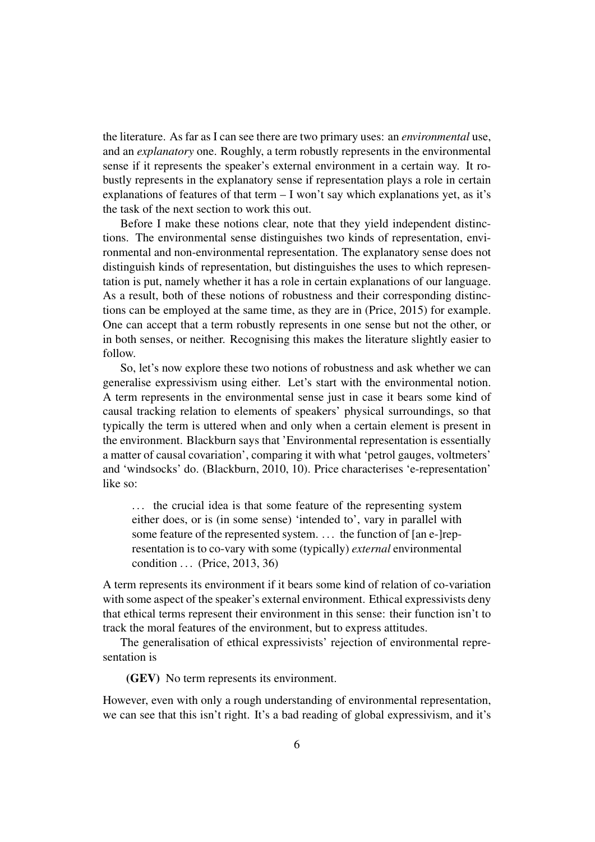the literature. As far as I can see there are two primary uses: an *environmental* use, and an *explanatory* one. Roughly, a term robustly represents in the environmental sense if it represents the speaker's external environment in a certain way. It robustly represents in the explanatory sense if representation plays a role in certain explanations of features of that term – I won't say which explanations yet, as it's the task of the next section to work this out.

Before I make these notions clear, note that they yield independent distinctions. The environmental sense distinguishes two kinds of representation, environmental and non-environmental representation. The explanatory sense does not distinguish kinds of representation, but distinguishes the uses to which representation is put, namely whether it has a role in certain explanations of our language. As a result, both of these notions of robustness and their corresponding distinctions can be employed at the same time, as they are in (Price, 2015) for example. One can accept that a term robustly represents in one sense but not the other, or in both senses, or neither. Recognising this makes the literature slightly easier to follow.

So, let's now explore these two notions of robustness and ask whether we can generalise expressivism using either. Let's start with the environmental notion. A term represents in the environmental sense just in case it bears some kind of causal tracking relation to elements of speakers' physical surroundings, so that typically the term is uttered when and only when a certain element is present in the environment. Blackburn says that 'Environmental representation is essentially a matter of causal covariation', comparing it with what 'petrol gauges, voltmeters' and 'windsocks' do. (Blackburn, 2010, 10). Price characterises 'e-representation' like so:

... the crucial idea is that some feature of the representing system either does, or is (in some sense) 'intended to', vary in parallel with some feature of the represented system. ... the function of [an e-]representation is to co-vary with some (typically) *external* environmental condition . . . (Price, 2013, 36)

A term represents its environment if it bears some kind of relation of co-variation with some aspect of the speaker's external environment. Ethical expressivists deny that ethical terms represent their environment in this sense: their function isn't to track the moral features of the environment, but to express attitudes.

The generalisation of ethical expressivists' rejection of environmental representation is

(GEV) No term represents its environment.

However, even with only a rough understanding of environmental representation, we can see that this isn't right. It's a bad reading of global expressivism, and it's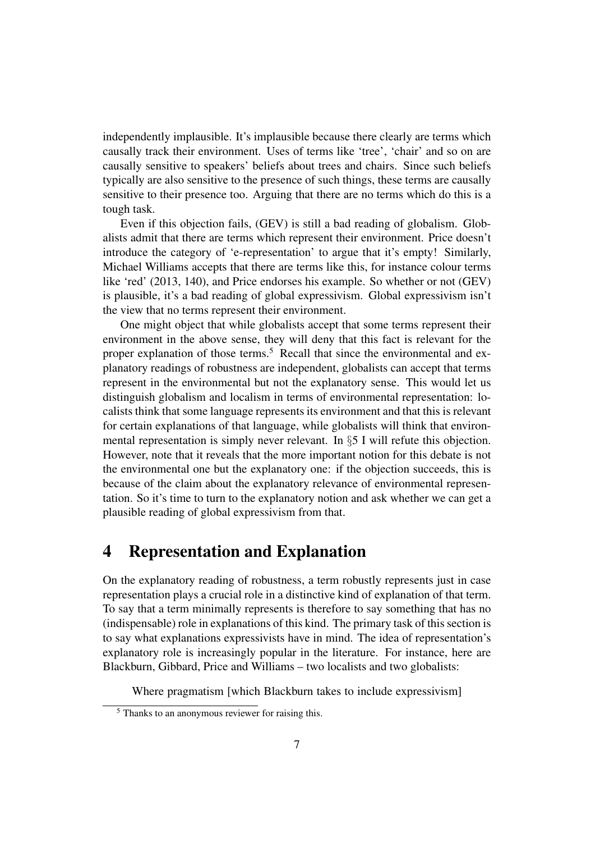independently implausible. It's implausible because there clearly are terms which causally track their environment. Uses of terms like 'tree', 'chair' and so on are causally sensitive to speakers' beliefs about trees and chairs. Since such beliefs typically are also sensitive to the presence of such things, these terms are causally sensitive to their presence too. Arguing that there are no terms which do this is a tough task.

Even if this objection fails, (GEV) is still a bad reading of globalism. Globalists admit that there are terms which represent their environment. Price doesn't introduce the category of 'e-representation' to argue that it's empty! Similarly, Michael Williams accepts that there are terms like this, for instance colour terms like 'red' (2013, 140), and Price endorses his example. So whether or not (GEV) is plausible, it's a bad reading of global expressivism. Global expressivism isn't the view that no terms represent their environment.

One might object that while globalists accept that some terms represent their environment in the above sense, they will deny that this fact is relevant for the proper explanation of those terms.<sup>5</sup> Recall that since the environmental and explanatory readings of robustness are independent, globalists can accept that terms represent in the environmental but not the explanatory sense. This would let us distinguish globalism and localism in terms of environmental representation: localists think that some language represents its environment and that this is relevant for certain explanations of that language, while globalists will think that environmental representation is simply never relevant. In §5 I will refute this objection. However, note that it reveals that the more important notion for this debate is not the environmental one but the explanatory one: if the objection succeeds, this is because of the claim about the explanatory relevance of environmental representation. So it's time to turn to the explanatory notion and ask whether we can get a plausible reading of global expressivism from that.

#### 4 Representation and Explanation

On the explanatory reading of robustness, a term robustly represents just in case representation plays a crucial role in a distinctive kind of explanation of that term. To say that a term minimally represents is therefore to say something that has no (indispensable) role in explanations of this kind. The primary task of this section is to say what explanations expressivists have in mind. The idea of representation's explanatory role is increasingly popular in the literature. For instance, here are Blackburn, Gibbard, Price and Williams – two localists and two globalists:

Where pragmatism [which Blackburn takes to include expressivism]

<sup>5</sup> Thanks to an anonymous reviewer for raising this.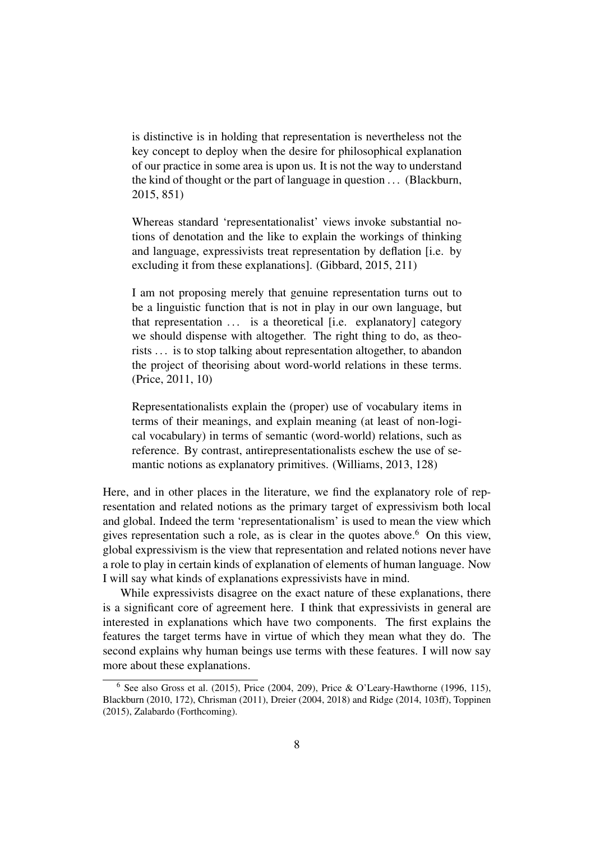is distinctive is in holding that representation is nevertheless not the key concept to deploy when the desire for philosophical explanation of our practice in some area is upon us. It is not the way to understand the kind of thought or the part of language in question . . . (Blackburn, 2015, 851)

Whereas standard 'representationalist' views invoke substantial notions of denotation and the like to explain the workings of thinking and language, expressivists treat representation by deflation [i.e. by excluding it from these explanations]. (Gibbard, 2015, 211)

I am not proposing merely that genuine representation turns out to be a linguistic function that is not in play in our own language, but that representation  $\dots$  is a theoretical [i.e. explanatory] category we should dispense with altogether. The right thing to do, as theorists . . . is to stop talking about representation altogether, to abandon the project of theorising about word-world relations in these terms. (Price, 2011, 10)

Representationalists explain the (proper) use of vocabulary items in terms of their meanings, and explain meaning (at least of non-logical vocabulary) in terms of semantic (word-world) relations, such as reference. By contrast, antirepresentationalists eschew the use of semantic notions as explanatory primitives. (Williams, 2013, 128)

Here, and in other places in the literature, we find the explanatory role of representation and related notions as the primary target of expressivism both local and global. Indeed the term 'representationalism' is used to mean the view which gives representation such a role, as is clear in the quotes above.<sup>6</sup> On this view, global expressivism is the view that representation and related notions never have a role to play in certain kinds of explanation of elements of human language. Now I will say what kinds of explanations expressivists have in mind.

While expressivists disagree on the exact nature of these explanations, there is a significant core of agreement here. I think that expressivists in general are interested in explanations which have two components. The first explains the features the target terms have in virtue of which they mean what they do. The second explains why human beings use terms with these features. I will now say more about these explanations.

 $6$  See also Gross et al. (2015), Price (2004, 209), Price & O'Leary-Hawthorne (1996, 115), Blackburn (2010, 172), Chrisman (2011), Dreier (2004, 2018) and Ridge (2014, 103ff), Toppinen (2015), Zalabardo (Forthcoming).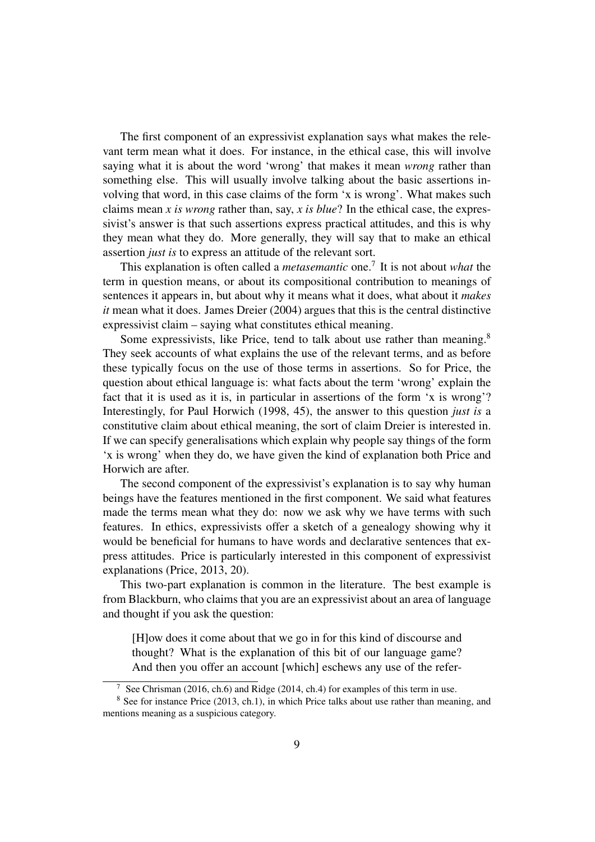The first component of an expressivist explanation says what makes the relevant term mean what it does. For instance, in the ethical case, this will involve saying what it is about the word 'wrong' that makes it mean *wrong* rather than something else. This will usually involve talking about the basic assertions involving that word, in this case claims of the form 'x is wrong'. What makes such claims mean *x is wrong* rather than, say, *x is blue*? In the ethical case, the expressivist's answer is that such assertions express practical attitudes, and this is why they mean what they do. More generally, they will say that to make an ethical assertion *just is* to express an attitude of the relevant sort.

This explanation is often called a *metasemantic* one.<sup>7</sup> It is not about *what* the term in question means, or about its compositional contribution to meanings of sentences it appears in, but about why it means what it does, what about it *makes it* mean what it does. James Dreier (2004) argues that this is the central distinctive expressivist claim – saying what constitutes ethical meaning.

Some expressivists, like Price, tend to talk about use rather than meaning.<sup>8</sup> They seek accounts of what explains the use of the relevant terms, and as before these typically focus on the use of those terms in assertions. So for Price, the question about ethical language is: what facts about the term 'wrong' explain the fact that it is used as it is, in particular in assertions of the form 'x is wrong'? Interestingly, for Paul Horwich (1998, 45), the answer to this question *just is* a constitutive claim about ethical meaning, the sort of claim Dreier is interested in. If we can specify generalisations which explain why people say things of the form 'x is wrong' when they do, we have given the kind of explanation both Price and Horwich are after.

The second component of the expressivist's explanation is to say why human beings have the features mentioned in the first component. We said what features made the terms mean what they do: now we ask why we have terms with such features. In ethics, expressivists offer a sketch of a genealogy showing why it would be beneficial for humans to have words and declarative sentences that express attitudes. Price is particularly interested in this component of expressivist explanations (Price, 2013, 20).

This two-part explanation is common in the literature. The best example is from Blackburn, who claims that you are an expressivist about an area of language and thought if you ask the question:

[H]ow does it come about that we go in for this kind of discourse and thought? What is the explanation of this bit of our language game? And then you offer an account [which] eschews any use of the refer-

<sup>7</sup> See Chrisman (2016, ch.6) and Ridge (2014, ch.4) for examples of this term in use.

<sup>&</sup>lt;sup>8</sup> See for instance Price (2013, ch.1), in which Price talks about use rather than meaning, and mentions meaning as a suspicious category.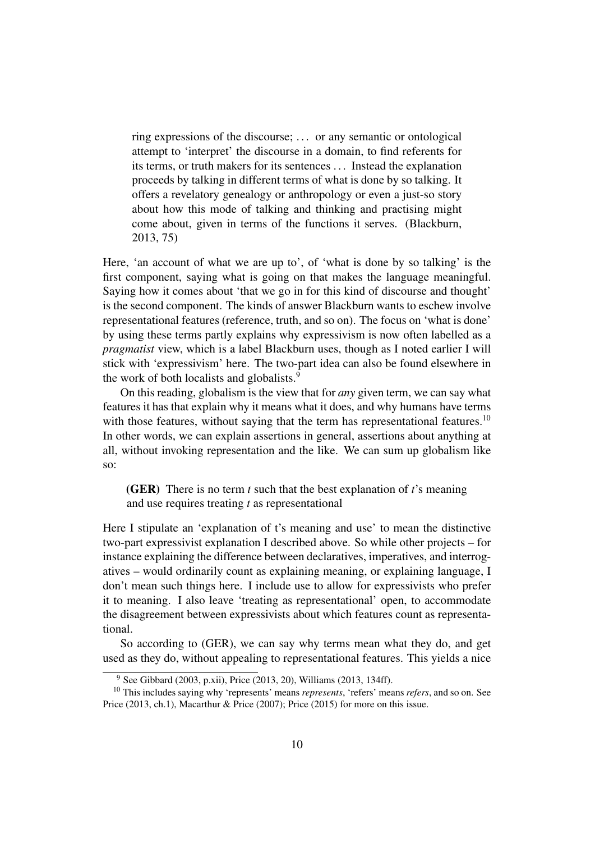ring expressions of the discourse; . . . or any semantic or ontological attempt to 'interpret' the discourse in a domain, to find referents for its terms, or truth makers for its sentences . . . Instead the explanation proceeds by talking in different terms of what is done by so talking. It offers a revelatory genealogy or anthropology or even a just-so story about how this mode of talking and thinking and practising might come about, given in terms of the functions it serves. (Blackburn, 2013, 75)

Here, 'an account of what we are up to', of 'what is done by so talking' is the first component, saying what is going on that makes the language meaningful. Saying how it comes about 'that we go in for this kind of discourse and thought' is the second component. The kinds of answer Blackburn wants to eschew involve representational features (reference, truth, and so on). The focus on 'what is done' by using these terms partly explains why expressivism is now often labelled as a *pragmatist* view, which is a label Blackburn uses, though as I noted earlier I will stick with 'expressivism' here. The two-part idea can also be found elsewhere in the work of both localists and globalists.<sup>9</sup>

On this reading, globalism is the view that for *any* given term, we can say what features it has that explain why it means what it does, and why humans have terms with those features, without saying that the term has representational features.<sup>10</sup> In other words, we can explain assertions in general, assertions about anything at all, without invoking representation and the like. We can sum up globalism like so:

(GER) There is no term *t* such that the best explanation of *t*'s meaning and use requires treating *t* as representational

Here I stipulate an 'explanation of t's meaning and use' to mean the distinctive two-part expressivist explanation I described above. So while other projects – for instance explaining the difference between declaratives, imperatives, and interrogatives – would ordinarily count as explaining meaning, or explaining language, I don't mean such things here. I include use to allow for expressivists who prefer it to meaning. I also leave 'treating as representational' open, to accommodate the disagreement between expressivists about which features count as representational.

So according to (GER), we can say why terms mean what they do, and get used as they do, without appealing to representational features. This yields a nice

<sup>9</sup> See Gibbard (2003, p.xii), Price (2013, 20), Williams (2013, 134ff).

<sup>10</sup> This includes saying why 'represents' means *represents*, 'refers' means *refers*, and so on. See Price (2013, ch.1), Macarthur & Price (2007); Price (2015) for more on this issue.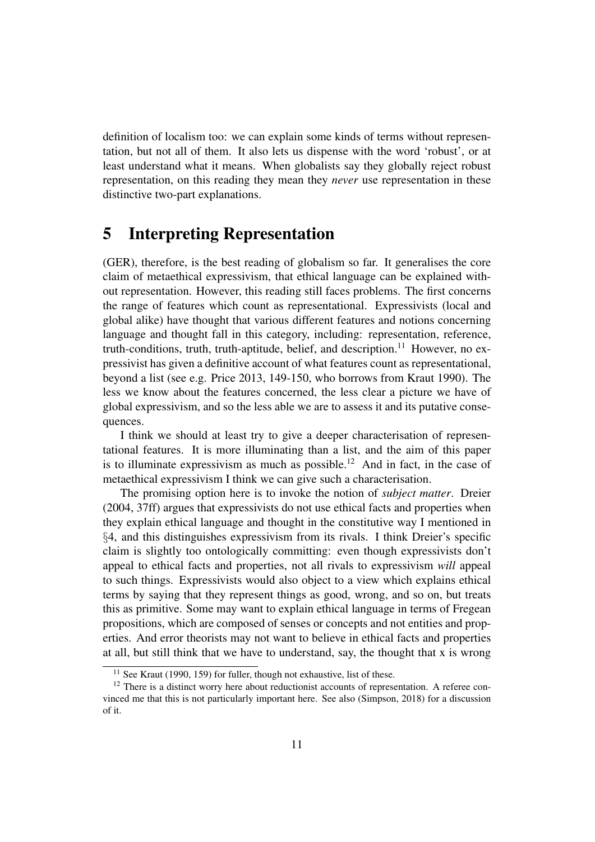definition of localism too: we can explain some kinds of terms without representation, but not all of them. It also lets us dispense with the word 'robust', or at least understand what it means. When globalists say they globally reject robust representation, on this reading they mean they *never* use representation in these distinctive two-part explanations.

### 5 Interpreting Representation

(GER), therefore, is the best reading of globalism so far. It generalises the core claim of metaethical expressivism, that ethical language can be explained without representation. However, this reading still faces problems. The first concerns the range of features which count as representational. Expressivists (local and global alike) have thought that various different features and notions concerning language and thought fall in this category, including: representation, reference, truth-conditions, truth, truth-aptitude, belief, and description.<sup>11</sup> However, no expressivist has given a definitive account of what features count as representational, beyond a list (see e.g. Price 2013, 149-150, who borrows from Kraut 1990). The less we know about the features concerned, the less clear a picture we have of global expressivism, and so the less able we are to assess it and its putative consequences.

I think we should at least try to give a deeper characterisation of representational features. It is more illuminating than a list, and the aim of this paper is to illuminate expressivism as much as possible.<sup>12</sup> And in fact, in the case of metaethical expressivism I think we can give such a characterisation.

The promising option here is to invoke the notion of *subject matter*. Dreier (2004, 37ff) argues that expressivists do not use ethical facts and properties when they explain ethical language and thought in the constitutive way I mentioned in §4, and this distinguishes expressivism from its rivals. I think Dreier's specific claim is slightly too ontologically committing: even though expressivists don't appeal to ethical facts and properties, not all rivals to expressivism *will* appeal to such things. Expressivists would also object to a view which explains ethical terms by saying that they represent things as good, wrong, and so on, but treats this as primitive. Some may want to explain ethical language in terms of Fregean propositions, which are composed of senses or concepts and not entities and properties. And error theorists may not want to believe in ethical facts and properties at all, but still think that we have to understand, say, the thought that x is wrong

<sup>&</sup>lt;sup>11</sup> See Kraut (1990, 159) for fuller, though not exhaustive, list of these.

 $12$  There is a distinct worry here about reductionist accounts of representation. A referee convinced me that this is not particularly important here. See also (Simpson, 2018) for a discussion of it.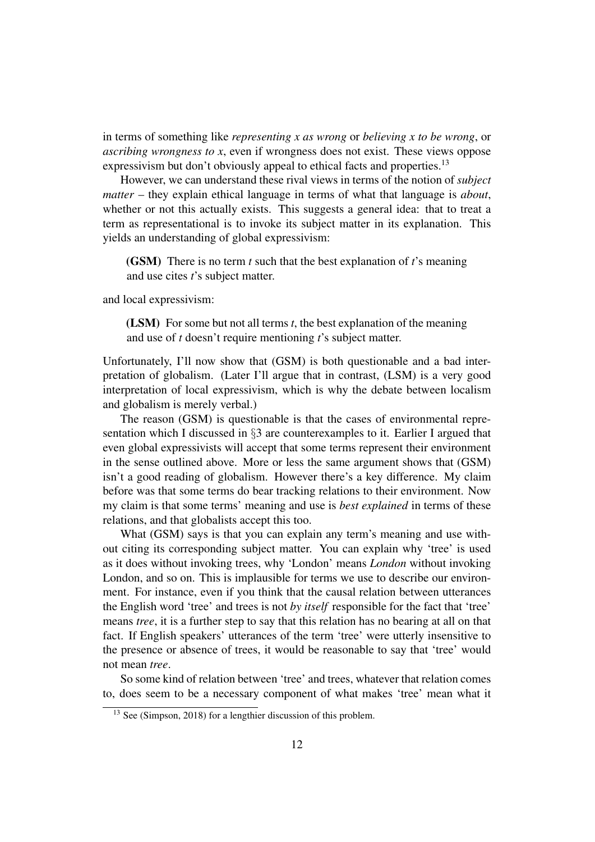in terms of something like *representing x as wrong* or *believing x to be wrong*, or *ascribing wrongness to x*, even if wrongness does not exist. These views oppose expressivism but don't obviously appeal to ethical facts and properties.<sup>13</sup>

However, we can understand these rival views in terms of the notion of *subject matter* – they explain ethical language in terms of what that language is *about*, whether or not this actually exists. This suggests a general idea: that to treat a term as representational is to invoke its subject matter in its explanation. This yields an understanding of global expressivism:

(GSM) There is no term *t* such that the best explanation of *t*'s meaning and use cites *t*'s subject matter.

and local expressivism:

(LSM) For some but not all terms *t*, the best explanation of the meaning and use of *t* doesn't require mentioning *t*'s subject matter.

Unfortunately, I'll now show that (GSM) is both questionable and a bad interpretation of globalism. (Later I'll argue that in contrast, (LSM) is a very good interpretation of local expressivism, which is why the debate between localism and globalism is merely verbal.)

The reason (GSM) is questionable is that the cases of environmental representation which I discussed in §3 are counterexamples to it. Earlier I argued that even global expressivists will accept that some terms represent their environment in the sense outlined above. More or less the same argument shows that (GSM) isn't a good reading of globalism. However there's a key difference. My claim before was that some terms do bear tracking relations to their environment. Now my claim is that some terms' meaning and use is *best explained* in terms of these relations, and that globalists accept this too.

What (GSM) says is that you can explain any term's meaning and use without citing its corresponding subject matter. You can explain why 'tree' is used as it does without invoking trees, why 'London' means *London* without invoking London, and so on. This is implausible for terms we use to describe our environment. For instance, even if you think that the causal relation between utterances the English word 'tree' and trees is not *by itself* responsible for the fact that 'tree' means *tree*, it is a further step to say that this relation has no bearing at all on that fact. If English speakers' utterances of the term 'tree' were utterly insensitive to the presence or absence of trees, it would be reasonable to say that 'tree' would not mean *tree*.

So some kind of relation between 'tree' and trees, whatever that relation comes to, does seem to be a necessary component of what makes 'tree' mean what it

 $13$  See (Simpson, 2018) for a lengthier discussion of this problem.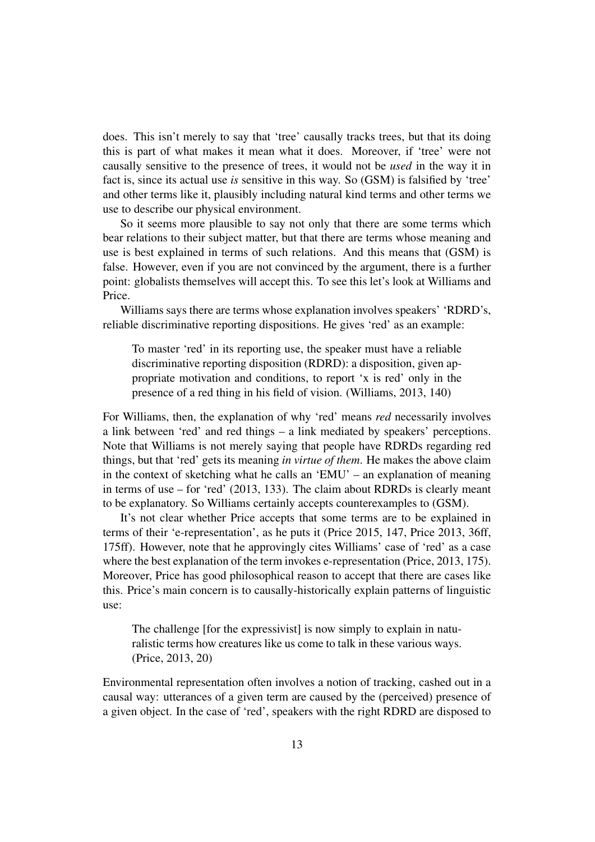does. This isn't merely to say that 'tree' causally tracks trees, but that its doing this is part of what makes it mean what it does. Moreover, if 'tree' were not causally sensitive to the presence of trees, it would not be *used* in the way it in fact is, since its actual use *is* sensitive in this way. So (GSM) is falsified by 'tree' and other terms like it, plausibly including natural kind terms and other terms we use to describe our physical environment.

So it seems more plausible to say not only that there are some terms which bear relations to their subject matter, but that there are terms whose meaning and use is best explained in terms of such relations. And this means that (GSM) is false. However, even if you are not convinced by the argument, there is a further point: globalists themselves will accept this. To see this let's look at Williams and Price.

Williams says there are terms whose explanation involves speakers' 'RDRD's, reliable discriminative reporting dispositions. He gives 'red' as an example:

To master 'red' in its reporting use, the speaker must have a reliable discriminative reporting disposition (RDRD): a disposition, given appropriate motivation and conditions, to report 'x is red' only in the presence of a red thing in his field of vision. (Williams, 2013, 140)

For Williams, then, the explanation of why 'red' means *red* necessarily involves a link between 'red' and red things – a link mediated by speakers' perceptions. Note that Williams is not merely saying that people have RDRDs regarding red things, but that 'red' gets its meaning *in virtue of them*. He makes the above claim in the context of sketching what he calls an 'EMU' – an explanation of meaning in terms of use – for 'red' (2013, 133). The claim about RDRDs is clearly meant to be explanatory. So Williams certainly accepts counterexamples to (GSM).

It's not clear whether Price accepts that some terms are to be explained in terms of their 'e-representation', as he puts it (Price 2015, 147, Price 2013, 36ff, 175ff). However, note that he approvingly cites Williams' case of 'red' as a case where the best explanation of the term invokes e-representation (Price, 2013, 175). Moreover, Price has good philosophical reason to accept that there are cases like this. Price's main concern is to causally-historically explain patterns of linguistic use:

The challenge [for the expressivist] is now simply to explain in naturalistic terms how creatures like us come to talk in these various ways. (Price, 2013, 20)

Environmental representation often involves a notion of tracking, cashed out in a causal way: utterances of a given term are caused by the (perceived) presence of a given object. In the case of 'red', speakers with the right RDRD are disposed to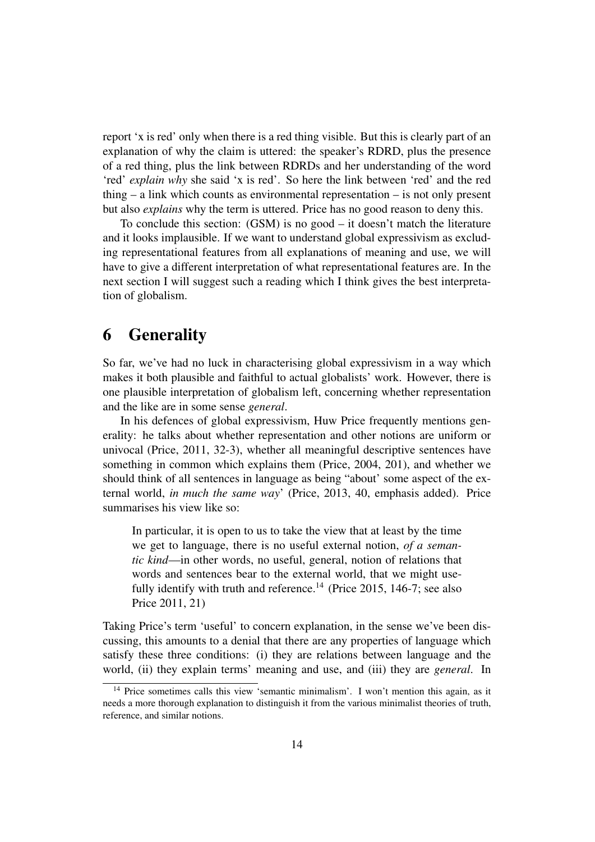report 'x is red' only when there is a red thing visible. But this is clearly part of an explanation of why the claim is uttered: the speaker's RDRD, plus the presence of a red thing, plus the link between RDRDs and her understanding of the word 'red' *explain why* she said 'x is red'. So here the link between 'red' and the red thing – a link which counts as environmental representation – is not only present but also *explains* why the term is uttered. Price has no good reason to deny this.

To conclude this section: (GSM) is no good – it doesn't match the literature and it looks implausible. If we want to understand global expressivism as excluding representational features from all explanations of meaning and use, we will have to give a different interpretation of what representational features are. In the next section I will suggest such a reading which I think gives the best interpretation of globalism.

## 6 Generality

So far, we've had no luck in characterising global expressivism in a way which makes it both plausible and faithful to actual globalists' work. However, there is one plausible interpretation of globalism left, concerning whether representation and the like are in some sense *general*.

In his defences of global expressivism, Huw Price frequently mentions generality: he talks about whether representation and other notions are uniform or univocal (Price, 2011, 32-3), whether all meaningful descriptive sentences have something in common which explains them (Price, 2004, 201), and whether we should think of all sentences in language as being "about' some aspect of the external world, *in much the same way*' (Price, 2013, 40, emphasis added). Price summarises his view like so:

In particular, it is open to us to take the view that at least by the time we get to language, there is no useful external notion, *of a semantic kind*—in other words, no useful, general, notion of relations that words and sentences bear to the external world, that we might usefully identify with truth and reference.<sup>14</sup> (Price 2015, 146-7; see also Price 2011, 21)

Taking Price's term 'useful' to concern explanation, in the sense we've been discussing, this amounts to a denial that there are any properties of language which satisfy these three conditions: (i) they are relations between language and the world, (ii) they explain terms' meaning and use, and (iii) they are *general*. In

<sup>&</sup>lt;sup>14</sup> Price sometimes calls this view 'semantic minimalism'. I won't mention this again, as it needs a more thorough explanation to distinguish it from the various minimalist theories of truth, reference, and similar notions.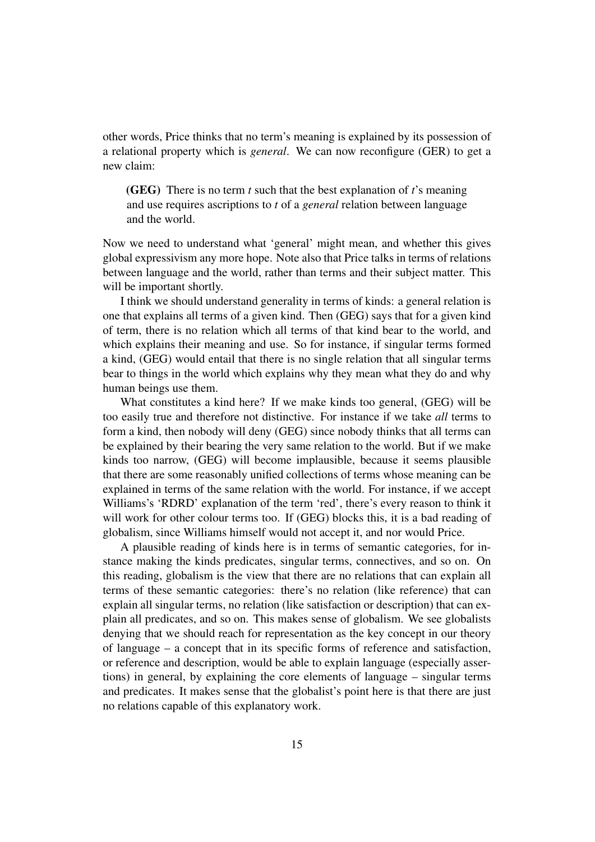other words, Price thinks that no term's meaning is explained by its possession of a relational property which is *general*. We can now reconfigure (GER) to get a new claim:

(GEG) There is no term *t* such that the best explanation of *t*'s meaning and use requires ascriptions to *t* of a *general* relation between language and the world.

Now we need to understand what 'general' might mean, and whether this gives global expressivism any more hope. Note also that Price talks in terms of relations between language and the world, rather than terms and their subject matter. This will be important shortly.

I think we should understand generality in terms of kinds: a general relation is one that explains all terms of a given kind. Then (GEG) says that for a given kind of term, there is no relation which all terms of that kind bear to the world, and which explains their meaning and use. So for instance, if singular terms formed a kind, (GEG) would entail that there is no single relation that all singular terms bear to things in the world which explains why they mean what they do and why human beings use them.

What constitutes a kind here? If we make kinds too general, (GEG) will be too easily true and therefore not distinctive. For instance if we take *all* terms to form a kind, then nobody will deny (GEG) since nobody thinks that all terms can be explained by their bearing the very same relation to the world. But if we make kinds too narrow, (GEG) will become implausible, because it seems plausible that there are some reasonably unified collections of terms whose meaning can be explained in terms of the same relation with the world. For instance, if we accept Williams's 'RDRD' explanation of the term 'red', there's every reason to think it will work for other colour terms too. If (GEG) blocks this, it is a bad reading of globalism, since Williams himself would not accept it, and nor would Price.

A plausible reading of kinds here is in terms of semantic categories, for instance making the kinds predicates, singular terms, connectives, and so on. On this reading, globalism is the view that there are no relations that can explain all terms of these semantic categories: there's no relation (like reference) that can explain all singular terms, no relation (like satisfaction or description) that can explain all predicates, and so on. This makes sense of globalism. We see globalists denying that we should reach for representation as the key concept in our theory of language – a concept that in its specific forms of reference and satisfaction, or reference and description, would be able to explain language (especially assertions) in general, by explaining the core elements of language – singular terms and predicates. It makes sense that the globalist's point here is that there are just no relations capable of this explanatory work.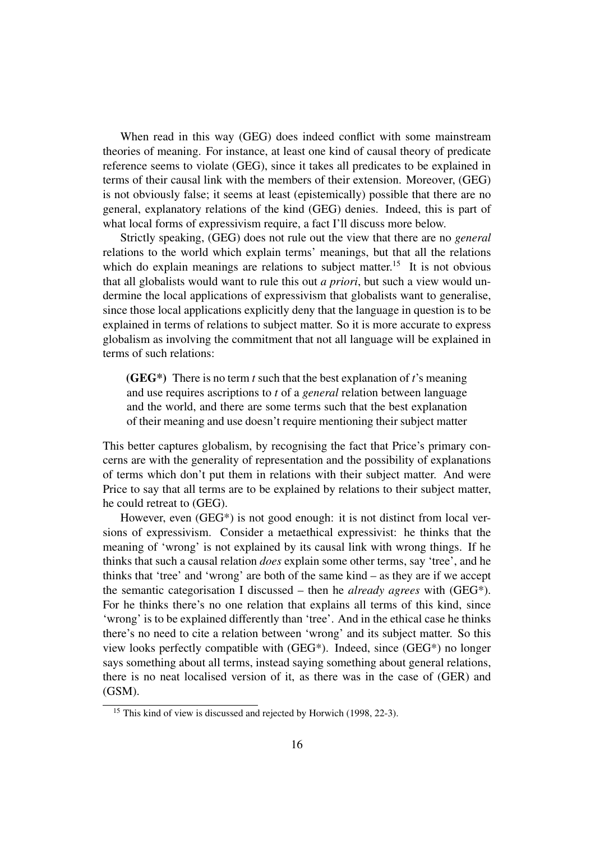When read in this way (GEG) does indeed conflict with some mainstream theories of meaning. For instance, at least one kind of causal theory of predicate reference seems to violate (GEG), since it takes all predicates to be explained in terms of their causal link with the members of their extension. Moreover, (GEG) is not obviously false; it seems at least (epistemically) possible that there are no general, explanatory relations of the kind (GEG) denies. Indeed, this is part of what local forms of expressivism require, a fact I'll discuss more below.

Strictly speaking, (GEG) does not rule out the view that there are no *general* relations to the world which explain terms' meanings, but that all the relations which do explain meanings are relations to subject matter.<sup>15</sup> It is not obvious that all globalists would want to rule this out *a priori*, but such a view would undermine the local applications of expressivism that globalists want to generalise, since those local applications explicitly deny that the language in question is to be explained in terms of relations to subject matter. So it is more accurate to express globalism as involving the commitment that not all language will be explained in terms of such relations:

(GEG\*) There is no term *t* such that the best explanation of *t*'s meaning and use requires ascriptions to *t* of a *general* relation between language and the world, and there are some terms such that the best explanation of their meaning and use doesn't require mentioning their subject matter

This better captures globalism, by recognising the fact that Price's primary concerns are with the generality of representation and the possibility of explanations of terms which don't put them in relations with their subject matter. And were Price to say that all terms are to be explained by relations to their subject matter, he could retreat to (GEG).

However, even (GEG\*) is not good enough: it is not distinct from local versions of expressivism. Consider a metaethical expressivist: he thinks that the meaning of 'wrong' is not explained by its causal link with wrong things. If he thinks that such a causal relation *does* explain some other terms, say 'tree', and he thinks that 'tree' and 'wrong' are both of the same kind – as they are if we accept the semantic categorisation I discussed – then he *already agrees* with (GEG\*). For he thinks there's no one relation that explains all terms of this kind, since 'wrong' is to be explained differently than 'tree'. And in the ethical case he thinks there's no need to cite a relation between 'wrong' and its subject matter. So this view looks perfectly compatible with (GEG\*). Indeed, since (GEG\*) no longer says something about all terms, instead saying something about general relations, there is no neat localised version of it, as there was in the case of (GER) and (GSM).

<sup>&</sup>lt;sup>15</sup> This kind of view is discussed and rejected by Horwich (1998, 22-3).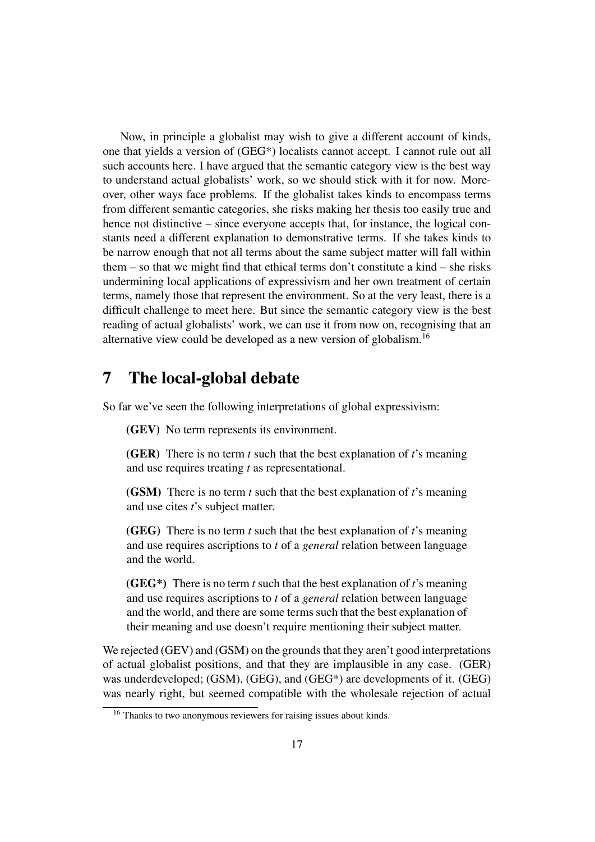Now, in principle a globalist may wish to give a different account of kinds, one that yields a version of (GEG\*) localists cannot accept. I cannot rule out all such accounts here. I have argued that the semantic category view is the best way to understand actual globalists' work, so we should stick with it for now. Moreover, other ways face problems. If the globalist takes kinds to encompass terms from different semantic categories, she risks making her thesis too easily true and hence not distinctive – since everyone accepts that, for instance, the logical constants need a different explanation to demonstrative terms. If she takes kinds to be narrow enough that not all terms about the same subject matter will fall within them – so that we might find that ethical terms don't constitute a kind – she risks undermining local applications of expressivism and her own treatment of certain terms, namely those that represent the environment. So at the very least, there is a difficult challenge to meet here. But since the semantic category view is the best reading of actual globalists' work, we can use it from now on, recognising that an alternative view could be developed as a new version of globalism.<sup>16</sup>

### 7 The local-global debate

So far we've seen the following interpretations of global expressivism:

(GEV) No term represents its environment.

(GER) There is no term *t* such that the best explanation of *t*'s meaning and use requires treating *t* as representational.

(GSM) There is no term *t* such that the best explanation of *t*'s meaning and use cites *t*'s subject matter.

(GEG) There is no term *t* such that the best explanation of *t*'s meaning and use requires ascriptions to *t* of a *general* relation between language and the world.

(GEG\*) There is no term *t* such that the best explanation of *t*'s meaning and use requires ascriptions to *t* of a *general* relation between language and the world, and there are some terms such that the best explanation of their meaning and use doesn't require mentioning their subject matter.

We rejected (GEV) and (GSM) on the grounds that they aren't good interpretations of actual globalist positions, and that they are implausible in any case. (GER) was underdeveloped; (GSM), (GEG), and (GEG\*) are developments of it. (GEG) was nearly right, but seemed compatible with the wholesale rejection of actual

<sup>&</sup>lt;sup>16</sup> Thanks to two anonymous reviewers for raising issues about kinds.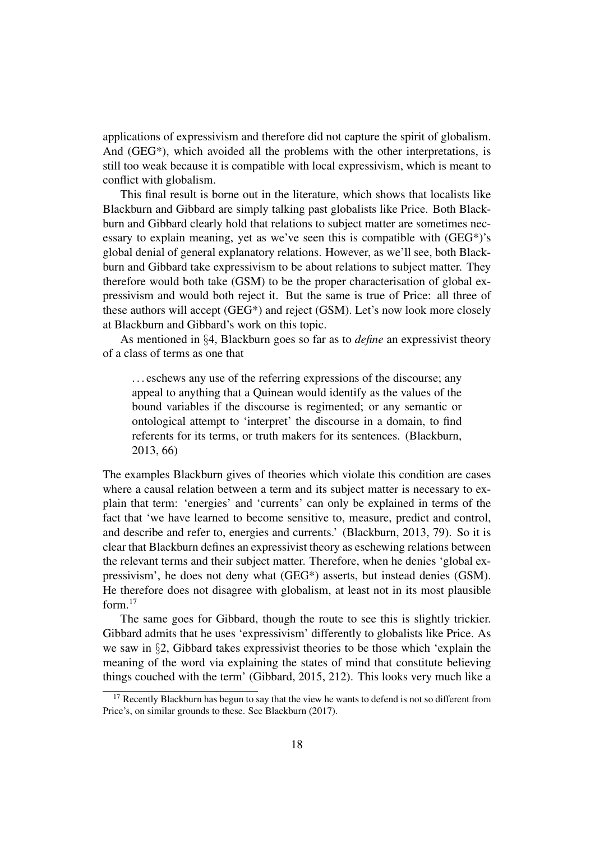applications of expressivism and therefore did not capture the spirit of globalism. And  $(GEG^*)$ , which avoided all the problems with the other interpretations, is still too weak because it is compatible with local expressivism, which is meant to conflict with globalism.

This final result is borne out in the literature, which shows that localists like Blackburn and Gibbard are simply talking past globalists like Price. Both Blackburn and Gibbard clearly hold that relations to subject matter are sometimes necessary to explain meaning, yet as we've seen this is compatible with (GEG\*)'s global denial of general explanatory relations. However, as we'll see, both Blackburn and Gibbard take expressivism to be about relations to subject matter. They therefore would both take (GSM) to be the proper characterisation of global expressivism and would both reject it. But the same is true of Price: all three of these authors will accept (GEG\*) and reject (GSM). Let's now look more closely at Blackburn and Gibbard's work on this topic.

As mentioned in §4, Blackburn goes so far as to *define* an expressivist theory of a class of terms as one that

. . . eschews any use of the referring expressions of the discourse; any appeal to anything that a Quinean would identify as the values of the bound variables if the discourse is regimented; or any semantic or ontological attempt to 'interpret' the discourse in a domain, to find referents for its terms, or truth makers for its sentences. (Blackburn, 2013, 66)

The examples Blackburn gives of theories which violate this condition are cases where a causal relation between a term and its subject matter is necessary to explain that term: 'energies' and 'currents' can only be explained in terms of the fact that 'we have learned to become sensitive to, measure, predict and control, and describe and refer to, energies and currents.' (Blackburn, 2013, 79). So it is clear that Blackburn defines an expressivist theory as eschewing relations between the relevant terms and their subject matter. Therefore, when he denies 'global expressivism', he does not deny what (GEG\*) asserts, but instead denies (GSM). He therefore does not disagree with globalism, at least not in its most plausible form. $17$ 

The same goes for Gibbard, though the route to see this is slightly trickier. Gibbard admits that he uses 'expressivism' differently to globalists like Price. As we saw in §2, Gibbard takes expressivist theories to be those which 'explain the meaning of the word via explaining the states of mind that constitute believing things couched with the term' (Gibbard, 2015, 212). This looks very much like a

 $17$  Recently Blackburn has begun to say that the view he wants to defend is not so different from Price's, on similar grounds to these. See Blackburn (2017).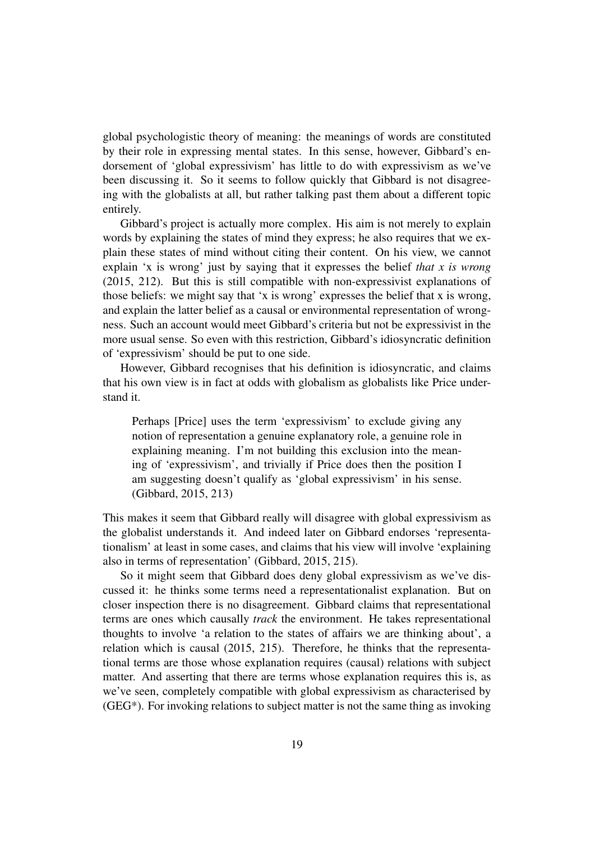global psychologistic theory of meaning: the meanings of words are constituted by their role in expressing mental states. In this sense, however, Gibbard's endorsement of 'global expressivism' has little to do with expressivism as we've been discussing it. So it seems to follow quickly that Gibbard is not disagreeing with the globalists at all, but rather talking past them about a different topic entirely.

Gibbard's project is actually more complex. His aim is not merely to explain words by explaining the states of mind they express; he also requires that we explain these states of mind without citing their content. On his view, we cannot explain 'x is wrong' just by saying that it expresses the belief *that x is wrong* (2015, 212). But this is still compatible with non-expressivist explanations of those beliefs: we might say that 'x is wrong' expresses the belief that x is wrong, and explain the latter belief as a causal or environmental representation of wrongness. Such an account would meet Gibbard's criteria but not be expressivist in the more usual sense. So even with this restriction, Gibbard's idiosyncratic definition of 'expressivism' should be put to one side.

However, Gibbard recognises that his definition is idiosyncratic, and claims that his own view is in fact at odds with globalism as globalists like Price understand it.

Perhaps [Price] uses the term 'expressivism' to exclude giving any notion of representation a genuine explanatory role, a genuine role in explaining meaning. I'm not building this exclusion into the meaning of 'expressivism', and trivially if Price does then the position I am suggesting doesn't qualify as 'global expressivism' in his sense. (Gibbard, 2015, 213)

This makes it seem that Gibbard really will disagree with global expressivism as the globalist understands it. And indeed later on Gibbard endorses 'representationalism' at least in some cases, and claims that his view will involve 'explaining also in terms of representation' (Gibbard, 2015, 215).

So it might seem that Gibbard does deny global expressivism as we've discussed it: he thinks some terms need a representationalist explanation. But on closer inspection there is no disagreement. Gibbard claims that representational terms are ones which causally *track* the environment. He takes representational thoughts to involve 'a relation to the states of affairs we are thinking about', a relation which is causal (2015, 215). Therefore, he thinks that the representational terms are those whose explanation requires (causal) relations with subject matter. And asserting that there are terms whose explanation requires this is, as we've seen, completely compatible with global expressivism as characterised by (GEG\*). For invoking relations to subject matter is not the same thing as invoking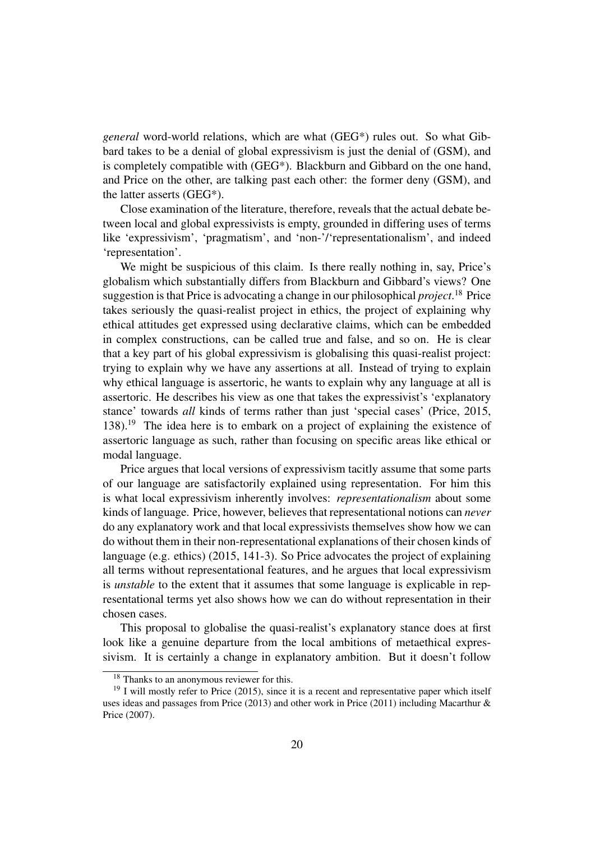*general* word-world relations, which are what (GEG\*) rules out. So what Gibbard takes to be a denial of global expressivism is just the denial of (GSM), and is completely compatible with (GEG\*). Blackburn and Gibbard on the one hand, and Price on the other, are talking past each other: the former deny (GSM), and the latter asserts (GEG\*).

Close examination of the literature, therefore, reveals that the actual debate between local and global expressivists is empty, grounded in differing uses of terms like 'expressivism', 'pragmatism', and 'non-'/'representationalism', and indeed 'representation'.

We might be suspicious of this claim. Is there really nothing in, say, Price's globalism which substantially differs from Blackburn and Gibbard's views? One suggestion is that Price is advocating a change in our philosophical *project*. <sup>18</sup> Price takes seriously the quasi-realist project in ethics, the project of explaining why ethical attitudes get expressed using declarative claims, which can be embedded in complex constructions, can be called true and false, and so on. He is clear that a key part of his global expressivism is globalising this quasi-realist project: trying to explain why we have any assertions at all. Instead of trying to explain why ethical language is assertoric, he wants to explain why any language at all is assertoric. He describes his view as one that takes the expressivist's 'explanatory stance' towards *all* kinds of terms rather than just 'special cases' (Price, 2015, 138).<sup>19</sup> The idea here is to embark on a project of explaining the existence of assertoric language as such, rather than focusing on specific areas like ethical or modal language.

Price argues that local versions of expressivism tacitly assume that some parts of our language are satisfactorily explained using representation. For him this is what local expressivism inherently involves: *representationalism* about some kinds of language. Price, however, believes that representational notions can *never* do any explanatory work and that local expressivists themselves show how we can do without them in their non-representational explanations of their chosen kinds of language (e.g. ethics) (2015, 141-3). So Price advocates the project of explaining all terms without representational features, and he argues that local expressivism is *unstable* to the extent that it assumes that some language is explicable in representational terms yet also shows how we can do without representation in their chosen cases.

This proposal to globalise the quasi-realist's explanatory stance does at first look like a genuine departure from the local ambitions of metaethical expressivism. It is certainly a change in explanatory ambition. But it doesn't follow

<sup>&</sup>lt;sup>18</sup> Thanks to an anonymous reviewer for this.

 $19$  I will mostly refer to Price (2015), since it is a recent and representative paper which itself uses ideas and passages from Price (2013) and other work in Price (2011) including Macarthur & Price (2007).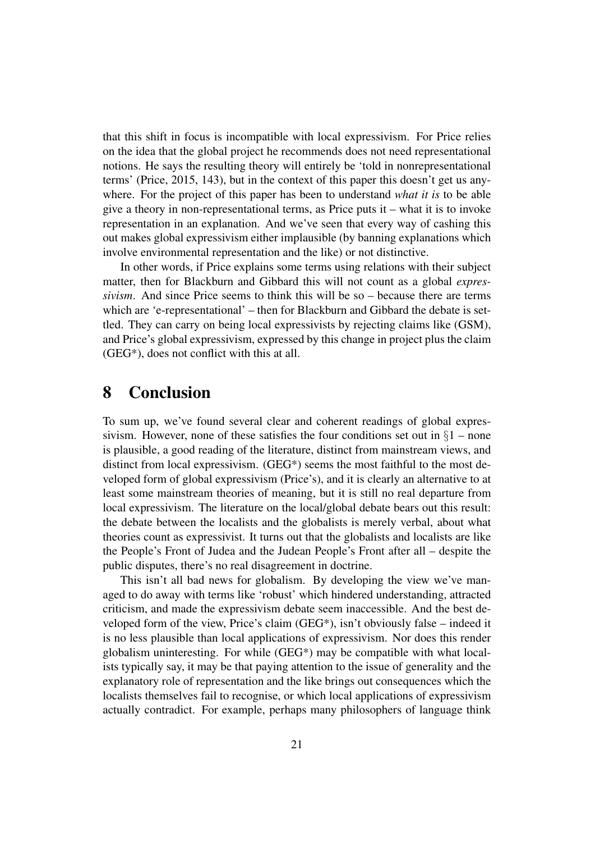that this shift in focus is incompatible with local expressivism. For Price relies on the idea that the global project he recommends does not need representational notions. He says the resulting theory will entirely be 'told in nonrepresentational terms' (Price, 2015, 143), but in the context of this paper this doesn't get us anywhere. For the project of this paper has been to understand *what it is* to be able give a theory in non-representational terms, as Price puts it – what it is to invoke representation in an explanation. And we've seen that every way of cashing this out makes global expressivism either implausible (by banning explanations which involve environmental representation and the like) or not distinctive.

In other words, if Price explains some terms using relations with their subject matter, then for Blackburn and Gibbard this will not count as a global *expressivism*. And since Price seems to think this will be so – because there are terms which are 'e-representational' – then for Blackburn and Gibbard the debate is settled. They can carry on being local expressivists by rejecting claims like (GSM), and Price's global expressivism, expressed by this change in project plus the claim (GEG\*), does not conflict with this at all.

#### 8 Conclusion

To sum up, we've found several clear and coherent readings of global expressivism. However, none of these satisfies the four conditions set out in  $\S1$  – none is plausible, a good reading of the literature, distinct from mainstream views, and distinct from local expressivism. (GEG\*) seems the most faithful to the most developed form of global expressivism (Price's), and it is clearly an alternative to at least some mainstream theories of meaning, but it is still no real departure from local expressivism. The literature on the local/global debate bears out this result: the debate between the localists and the globalists is merely verbal, about what theories count as expressivist. It turns out that the globalists and localists are like the People's Front of Judea and the Judean People's Front after all – despite the public disputes, there's no real disagreement in doctrine.

This isn't all bad news for globalism. By developing the view we've managed to do away with terms like 'robust' which hindered understanding, attracted criticism, and made the expressivism debate seem inaccessible. And the best developed form of the view, Price's claim (GEG\*), isn't obviously false – indeed it is no less plausible than local applications of expressivism. Nor does this render globalism uninteresting. For while (GEG\*) may be compatible with what localists typically say, it may be that paying attention to the issue of generality and the explanatory role of representation and the like brings out consequences which the localists themselves fail to recognise, or which local applications of expressivism actually contradict. For example, perhaps many philosophers of language think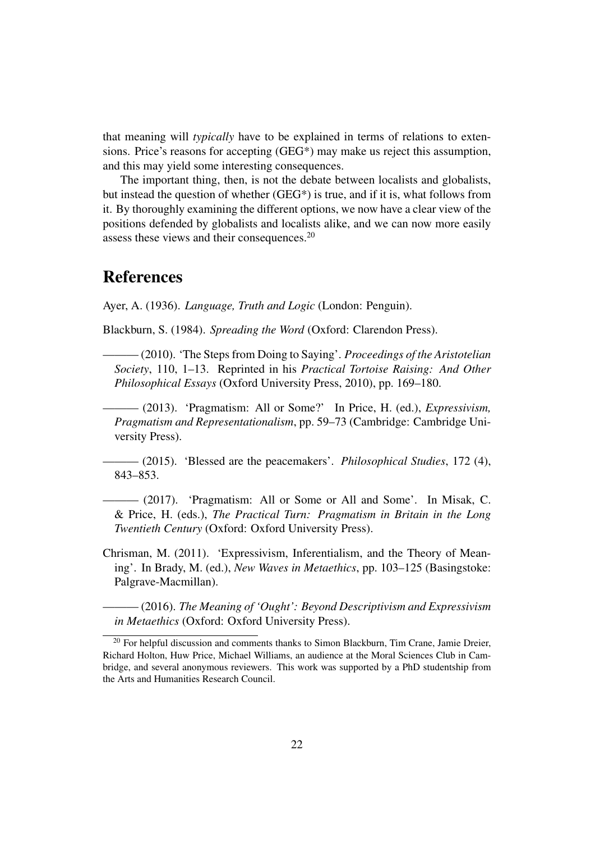that meaning will *typically* have to be explained in terms of relations to extensions. Price's reasons for accepting (GEG\*) may make us reject this assumption, and this may yield some interesting consequences.

The important thing, then, is not the debate between localists and globalists, but instead the question of whether (GEG\*) is true, and if it is, what follows from it. By thoroughly examining the different options, we now have a clear view of the positions defended by globalists and localists alike, and we can now more easily assess these views and their consequences.<sup>20</sup>

#### References

Ayer, A. (1936). *Language, Truth and Logic* (London: Penguin).

Blackburn, S. (1984). *Spreading the Word* (Oxford: Clarendon Press).

——— (2010). 'The Steps from Doing to Saying'. *Proceedings of the Aristotelian Society*, 110, 1–13. Reprinted in his *Practical Tortoise Raising: And Other Philosophical Essays* (Oxford University Press, 2010), pp. 169–180.

——— (2013). 'Pragmatism: All or Some?' In Price, H. (ed.), *Expressivism, Pragmatism and Representationalism*, pp. 59–73 (Cambridge: Cambridge University Press).

——— (2015). 'Blessed are the peacemakers'. *Philosophical Studies*, 172 (4), 843–853.

——— (2017). 'Pragmatism: All or Some or All and Some'. In Misak, C. & Price, H. (eds.), *The Practical Turn: Pragmatism in Britain in the Long Twentieth Century* (Oxford: Oxford University Press).

Chrisman, M. (2011). 'Expressivism, Inferentialism, and the Theory of Meaning'. In Brady, M. (ed.), *New Waves in Metaethics*, pp. 103–125 (Basingstoke: Palgrave-Macmillan).

——— (2016). *The Meaning of 'Ought': Beyond Descriptivism and Expressivism in Metaethics* (Oxford: Oxford University Press).

 $20$  For helpful discussion and comments thanks to Simon Blackburn, Tim Crane, Jamie Dreier, Richard Holton, Huw Price, Michael Williams, an audience at the Moral Sciences Club in Cambridge, and several anonymous reviewers. This work was supported by a PhD studentship from the Arts and Humanities Research Council.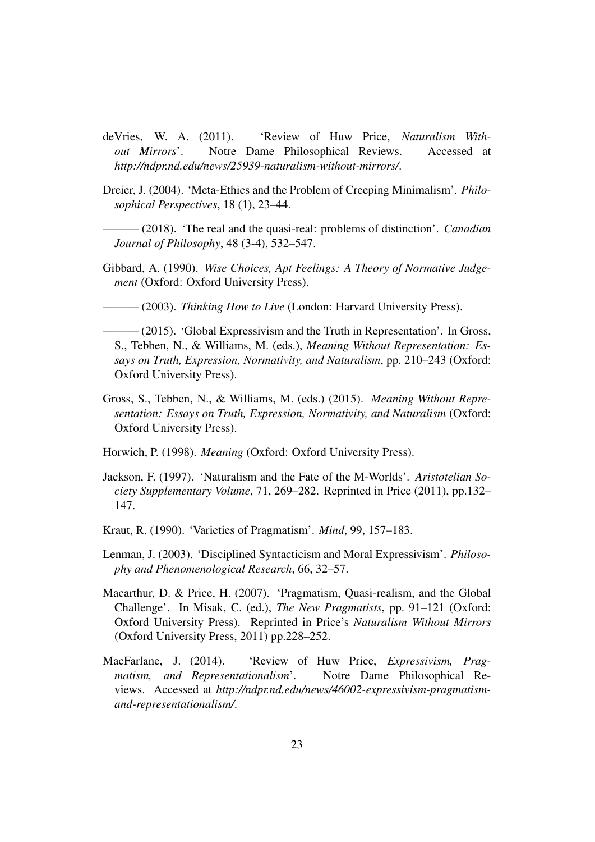- deVries, W. A. (2011). 'Review of Huw Price, *Naturalism Without Mirrors*'. Notre Dame Philosophical Reviews. Accessed at *http://ndpr.nd.edu/news/25939-naturalism-without-mirrors/*.
- Dreier, J. (2004). 'Meta-Ethics and the Problem of Creeping Minimalism'. *Philosophical Perspectives*, 18 (1), 23–44.

——— (2018). 'The real and the quasi-real: problems of distinction'. *Canadian Journal of Philosophy*, 48 (3-4), 532–547.

Gibbard, A. (1990). *Wise Choices, Apt Feelings: A Theory of Normative Judgement* (Oxford: Oxford University Press).

——— (2003). *Thinking How to Live* (London: Harvard University Press).

- $-$  (2015). 'Global Expressivism and the Truth in Representation'. In Gross, S., Tebben, N., & Williams, M. (eds.), *Meaning Without Representation: Essays on Truth, Expression, Normativity, and Naturalism*, pp. 210–243 (Oxford: Oxford University Press).
- Gross, S., Tebben, N., & Williams, M. (eds.) (2015). *Meaning Without Representation: Essays on Truth, Expression, Normativity, and Naturalism* (Oxford: Oxford University Press).
- Horwich, P. (1998). *Meaning* (Oxford: Oxford University Press).
- Jackson, F. (1997). 'Naturalism and the Fate of the M-Worlds'. *Aristotelian Society Supplementary Volume*, 71, 269–282. Reprinted in Price (2011), pp.132– 147.
- Kraut, R. (1990). 'Varieties of Pragmatism'. *Mind*, 99, 157–183.
- Lenman, J. (2003). 'Disciplined Syntacticism and Moral Expressivism'. *Philosophy and Phenomenological Research*, 66, 32–57.
- Macarthur, D. & Price, H. (2007). 'Pragmatism, Quasi-realism, and the Global Challenge'. In Misak, C. (ed.), *The New Pragmatists*, pp. 91–121 (Oxford: Oxford University Press). Reprinted in Price's *Naturalism Without Mirrors* (Oxford University Press, 2011) pp.228–252.
- MacFarlane, J. (2014). 'Review of Huw Price, *Expressivism, Pragmatism, and Representationalism*'. Notre Dame Philosophical Reviews. Accessed at *http://ndpr.nd.edu/news/46002-expressivism-pragmatismand-representationalism/*.